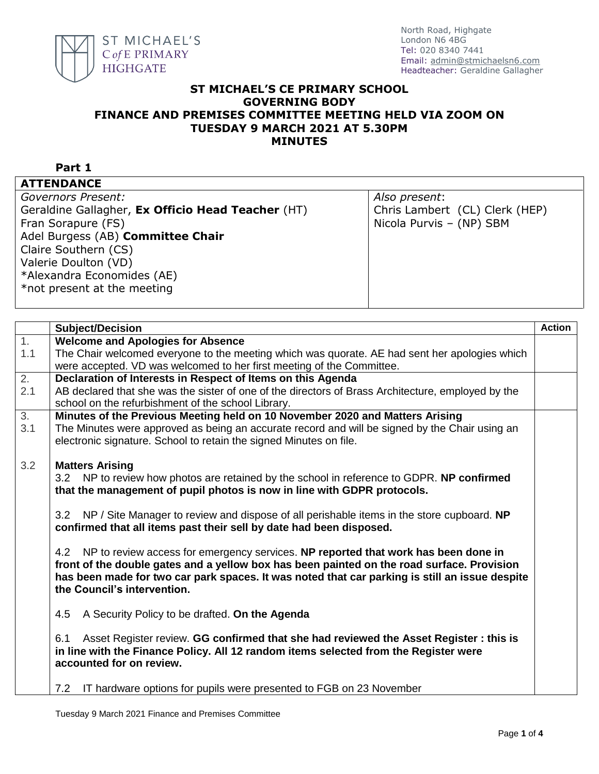

## **ST MICHAEL'S CE PRIMARY SCHOOL GOVERNING BODY FINANCE AND PREMISES COMMITTEE MEETING HELD VIA ZOOM ON TUESDAY 9 MARCH 2021 AT 5.30PM MINUTES**

| ×<br>×<br>٦ |  |
|-------------|--|
|-------------|--|

| <b>ATTENDANCE</b> |  |  |
|-------------------|--|--|

|  |                | -------- |  |  |  |
|--|----------------|----------|--|--|--|
|  | Covernore Dree |          |  |  |  |

*Governors Present:* Geraldine Gallagher, **Ex Officio Head Teacher** (HT) Fran Sorapure (FS) Adel Burgess (AB) **Committee Chair** Claire Southern (CS) Valerie Doulton (VD) \*Alexandra Economides (AE) \*not present at the meeting

*Also present*: Chris Lambert (CL) Clerk (HEP) Nicola Purvis – (NP) SBM

|                  | <b>Subject/Decision</b>                                                                            | <b>Action</b> |
|------------------|----------------------------------------------------------------------------------------------------|---------------|
| 1.               | <b>Welcome and Apologies for Absence</b>                                                           |               |
| 1.1              | The Chair welcomed everyone to the meeting which was quorate. AE had sent her apologies which      |               |
|                  | were accepted. VD was welcomed to her first meeting of the Committee.                              |               |
| $\overline{2}$ . | Declaration of Interests in Respect of Items on this Agenda                                        |               |
| 2.1              | AB declared that she was the sister of one of the directors of Brass Architecture, employed by the |               |
|                  | school on the refurbishment of the school Library.                                                 |               |
| 3 <sub>1</sub>   | Minutes of the Previous Meeting held on 10 November 2020 and Matters Arising                       |               |
| 3.1              | The Minutes were approved as being an accurate record and will be signed by the Chair using an     |               |
|                  | electronic signature. School to retain the signed Minutes on file.                                 |               |
|                  |                                                                                                    |               |
| 3.2              | <b>Matters Arising</b>                                                                             |               |
|                  | 3.2 NP to review how photos are retained by the school in reference to GDPR. NP confirmed          |               |
|                  | that the management of pupil photos is now in line with GDPR protocols.                            |               |
|                  |                                                                                                    |               |
|                  | 3.2 NP / Site Manager to review and dispose of all perishable items in the store cupboard. NP      |               |
|                  | confirmed that all items past their sell by date had been disposed.                                |               |
|                  |                                                                                                    |               |
|                  |                                                                                                    |               |
|                  | 4.2 NP to review access for emergency services. NP reported that work has been done in             |               |
|                  | front of the double gates and a yellow box has been painted on the road surface. Provision         |               |
|                  | has been made for two car park spaces. It was noted that car parking is still an issue despite     |               |
|                  | the Council's intervention.                                                                        |               |
|                  |                                                                                                    |               |
|                  | 4.5<br>A Security Policy to be drafted. On the Agenda                                              |               |
|                  |                                                                                                    |               |
|                  | Asset Register review. GG confirmed that she had reviewed the Asset Register: this is<br>6.1       |               |
|                  | in line with the Finance Policy. All 12 random items selected from the Register were               |               |
|                  | accounted for on review.                                                                           |               |
|                  |                                                                                                    |               |
|                  | IT hardware options for pupils were presented to FGB on 23 November<br>7.2                         |               |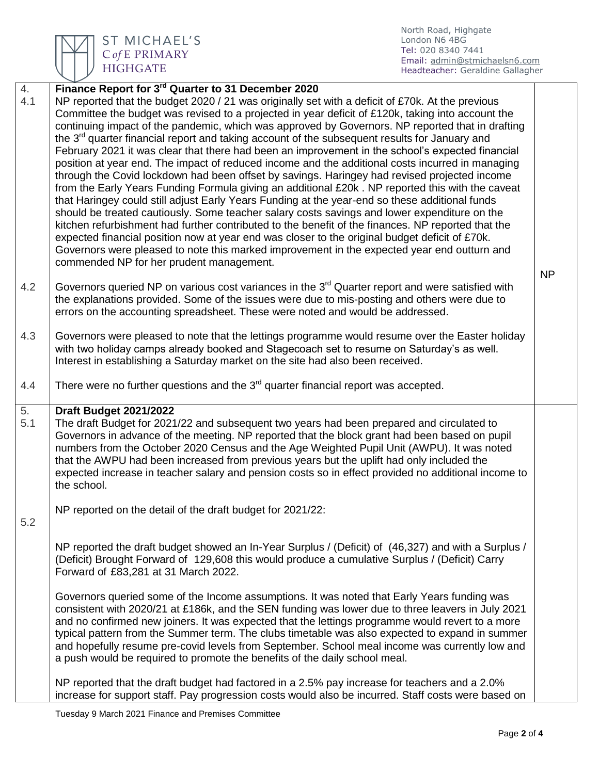

ST MICHAEL'S C of E PRIMARY **HIGHGATE** 

North Road, Highgate London N6 4BG Tel: 020 8340 7441 Email: [admin@stmichaelsn6.com](mailto:admin@stmichaelsn6.com) Headteacher: Geraldine Gallagher

| 4.        | Finance Report for 3 <sup>rd</sup> Quarter to 31 December 2020                                                                                                                                                                                                                                                                                                                                                                                                                                                                                                                                                                                                                                                                                                                                                                                                                                                                                                                                                                                                                                                                                                                                                                                                                                                                                                                          |           |
|-----------|-----------------------------------------------------------------------------------------------------------------------------------------------------------------------------------------------------------------------------------------------------------------------------------------------------------------------------------------------------------------------------------------------------------------------------------------------------------------------------------------------------------------------------------------------------------------------------------------------------------------------------------------------------------------------------------------------------------------------------------------------------------------------------------------------------------------------------------------------------------------------------------------------------------------------------------------------------------------------------------------------------------------------------------------------------------------------------------------------------------------------------------------------------------------------------------------------------------------------------------------------------------------------------------------------------------------------------------------------------------------------------------------|-----------|
| 4.1       | NP reported that the budget 2020 / 21 was originally set with a deficit of £70k. At the previous<br>Committee the budget was revised to a projected in year deficit of £120k, taking into account the<br>continuing impact of the pandemic, which was approved by Governors. NP reported that in drafting<br>the 3 <sup>rd</sup> quarter financial report and taking account of the subsequent results for January and<br>February 2021 it was clear that there had been an improvement in the school's expected financial<br>position at year end. The impact of reduced income and the additional costs incurred in managing<br>through the Covid lockdown had been offset by savings. Haringey had revised projected income<br>from the Early Years Funding Formula giving an additional £20k. NP reported this with the caveat<br>that Haringey could still adjust Early Years Funding at the year-end so these additional funds<br>should be treated cautiously. Some teacher salary costs savings and lower expenditure on the<br>kitchen refurbishment had further contributed to the benefit of the finances. NP reported that the<br>expected financial position now at year end was closer to the original budget deficit of £70k.<br>Governors were pleased to note this marked improvement in the expected year end outturn and<br>commended NP for her prudent management. | <b>NP</b> |
| 4.2       | Governors queried NP on various cost variances in the 3 <sup>rd</sup> Quarter report and were satisfied with<br>the explanations provided. Some of the issues were due to mis-posting and others were due to<br>errors on the accounting spreadsheet. These were noted and would be addressed.                                                                                                                                                                                                                                                                                                                                                                                                                                                                                                                                                                                                                                                                                                                                                                                                                                                                                                                                                                                                                                                                                          |           |
| 4.3       | Governors were pleased to note that the lettings programme would resume over the Easter holiday<br>with two holiday camps already booked and Stagecoach set to resume on Saturday's as well.<br>Interest in establishing a Saturday market on the site had also been received.                                                                                                                                                                                                                                                                                                                                                                                                                                                                                                                                                                                                                                                                                                                                                                                                                                                                                                                                                                                                                                                                                                          |           |
| 4.4       | There were no further questions and the $3rd$ quarter financial report was accepted.                                                                                                                                                                                                                                                                                                                                                                                                                                                                                                                                                                                                                                                                                                                                                                                                                                                                                                                                                                                                                                                                                                                                                                                                                                                                                                    |           |
| 5.<br>5.1 | <b>Draft Budget 2021/2022</b><br>The draft Budget for 2021/22 and subsequent two years had been prepared and circulated to<br>Governors in advance of the meeting. NP reported that the block grant had been based on pupil<br>numbers from the October 2020 Census and the Age Weighted Pupil Unit (AWPU). It was noted<br>that the AWPU had been increased from previous years but the uplift had only included the<br>expected increase in teacher salary and pension costs so in effect provided no additional income to<br>the school.                                                                                                                                                                                                                                                                                                                                                                                                                                                                                                                                                                                                                                                                                                                                                                                                                                             |           |
| 5.2       | NP reported on the detail of the draft budget for 2021/22:                                                                                                                                                                                                                                                                                                                                                                                                                                                                                                                                                                                                                                                                                                                                                                                                                                                                                                                                                                                                                                                                                                                                                                                                                                                                                                                              |           |
|           | NP reported the draft budget showed an In-Year Surplus / (Deficit) of (46,327) and with a Surplus /<br>(Deficit) Brought Forward of 129,608 this would produce a cumulative Surplus / (Deficit) Carry<br>Forward of £83,281 at 31 March 2022.                                                                                                                                                                                                                                                                                                                                                                                                                                                                                                                                                                                                                                                                                                                                                                                                                                                                                                                                                                                                                                                                                                                                           |           |
|           | Governors queried some of the Income assumptions. It was noted that Early Years funding was<br>consistent with 2020/21 at £186k, and the SEN funding was lower due to three leavers in July 2021<br>and no confirmed new joiners. It was expected that the lettings programme would revert to a more<br>typical pattern from the Summer term. The clubs timetable was also expected to expand in summer<br>and hopefully resume pre-covid levels from September. School meal income was currently low and<br>a push would be required to promote the benefits of the daily school meal.                                                                                                                                                                                                                                                                                                                                                                                                                                                                                                                                                                                                                                                                                                                                                                                                 |           |
|           | NP reported that the draft budget had factored in a 2.5% pay increase for teachers and a 2.0%<br>increase for support staff. Pay progression costs would also be incurred. Staff costs were based on                                                                                                                                                                                                                                                                                                                                                                                                                                                                                                                                                                                                                                                                                                                                                                                                                                                                                                                                                                                                                                                                                                                                                                                    |           |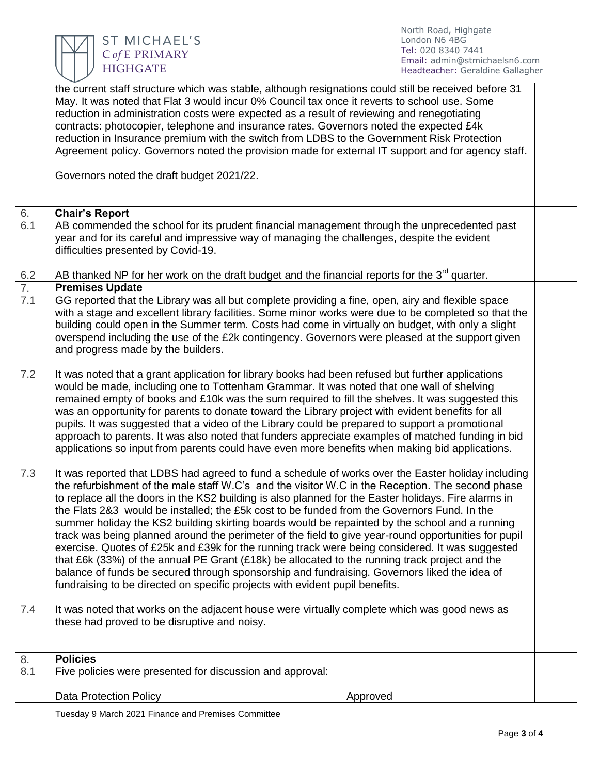

North Road, Highgate London N6 4BG Tel: 020 8340 7441 Email: [admin@stmichaelsn6.com](mailto:admin@stmichaelsn6.com) Headteacher: Geraldine Gallagher

| <b>Chair's Report</b><br>AB commended the school for its prudent financial management through the unprecedented past<br>year and for its careful and impressive way of managing the challenges, despite the evident<br>difficulties presented by Covid-19.<br>AB thanked NP for her work on the draft budget and the financial reports for the $3^{rd}$ quarter.<br>$\frac{6.2}{7.}$<br><b>Premises Update</b><br>GG reported that the Library was all but complete providing a fine, open, airy and flexible space<br>with a stage and excellent library facilities. Some minor works were due to be completed so that the<br>building could open in the Summer term. Costs had come in virtually on budget, with only a slight<br>overspend including the use of the £2k contingency. Governors were pleased at the support given<br>and progress made by the builders.<br>It was noted that a grant application for library books had been refused but further applications<br>would be made, including one to Tottenham Grammar. It was noted that one wall of shelving<br>remained empty of books and £10k was the sum required to fill the shelves. It was suggested this<br>was an opportunity for parents to donate toward the Library project with evident benefits for all<br>pupils. It was suggested that a video of the Library could be prepared to support a promotional<br>approach to parents. It was also noted that funders appreciate examples of matched funding in bid<br>applications so input from parents could have even more benefits when making bid applications.<br>It was reported that LDBS had agreed to fund a schedule of works over the Easter holiday including<br>the refurbishment of the male staff W.C's and the visitor W.C in the Reception. The second phase<br>to replace all the doors in the KS2 building is also planned for the Easter holidays. Fire alarms in<br>the Flats 2&3 would be installed; the £5k cost to be funded from the Governors Fund. In the<br>summer holiday the KS2 building skirting boards would be repainted by the school and a running<br>track was being planned around the perimeter of the field to give year-round opportunities for pupil<br>exercise. Quotes of £25k and £39k for the running track were being considered. It was suggested<br>that £6k (33%) of the annual PE Grant (£18k) be allocated to the running track project and the<br>balance of funds be secured through sponsorship and fundraising. Governors liked the idea of<br>fundraising to be directed on specific projects with evident pupil benefits.<br>It was noted that works on the adjacent house were virtually complete which was good news as<br>these had proved to be disruptive and noisy.<br><b>Policies</b><br>Five policies were presented for discussion and approval:<br><b>Data Protection Policy</b><br>Approved |           | the current staff structure which was stable, although resignations could still be received before 31<br>May. It was noted that Flat 3 would incur 0% Council tax once it reverts to school use. Some<br>reduction in administration costs were expected as a result of reviewing and renegotiating<br>contracts: photocopier, telephone and insurance rates. Governors noted the expected £4k<br>reduction in Insurance premium with the switch from LDBS to the Government Risk Protection<br>Agreement policy. Governors noted the provision made for external IT support and for agency staff.<br>Governors noted the draft budget 2021/22. |  |
|---------------------------------------------------------------------------------------------------------------------------------------------------------------------------------------------------------------------------------------------------------------------------------------------------------------------------------------------------------------------------------------------------------------------------------------------------------------------------------------------------------------------------------------------------------------------------------------------------------------------------------------------------------------------------------------------------------------------------------------------------------------------------------------------------------------------------------------------------------------------------------------------------------------------------------------------------------------------------------------------------------------------------------------------------------------------------------------------------------------------------------------------------------------------------------------------------------------------------------------------------------------------------------------------------------------------------------------------------------------------------------------------------------------------------------------------------------------------------------------------------------------------------------------------------------------------------------------------------------------------------------------------------------------------------------------------------------------------------------------------------------------------------------------------------------------------------------------------------------------------------------------------------------------------------------------------------------------------------------------------------------------------------------------------------------------------------------------------------------------------------------------------------------------------------------------------------------------------------------------------------------------------------------------------------------------------------------------------------------------------------------------------------------------------------------------------------------------------------------------------------------------------------------------------------------------------------------------------------------------------------------------------------------------------------------------------------------------------------------------------------------------------------------------------------------------------------------------------------------------------------------------------|-----------|-------------------------------------------------------------------------------------------------------------------------------------------------------------------------------------------------------------------------------------------------------------------------------------------------------------------------------------------------------------------------------------------------------------------------------------------------------------------------------------------------------------------------------------------------------------------------------------------------------------------------------------------------|--|
|                                                                                                                                                                                                                                                                                                                                                                                                                                                                                                                                                                                                                                                                                                                                                                                                                                                                                                                                                                                                                                                                                                                                                                                                                                                                                                                                                                                                                                                                                                                                                                                                                                                                                                                                                                                                                                                                                                                                                                                                                                                                                                                                                                                                                                                                                                                                                                                                                                                                                                                                                                                                                                                                                                                                                                                                                                                                                             | 6.        |                                                                                                                                                                                                                                                                                                                                                                                                                                                                                                                                                                                                                                                 |  |
|                                                                                                                                                                                                                                                                                                                                                                                                                                                                                                                                                                                                                                                                                                                                                                                                                                                                                                                                                                                                                                                                                                                                                                                                                                                                                                                                                                                                                                                                                                                                                                                                                                                                                                                                                                                                                                                                                                                                                                                                                                                                                                                                                                                                                                                                                                                                                                                                                                                                                                                                                                                                                                                                                                                                                                                                                                                                                             | 6.1       |                                                                                                                                                                                                                                                                                                                                                                                                                                                                                                                                                                                                                                                 |  |
|                                                                                                                                                                                                                                                                                                                                                                                                                                                                                                                                                                                                                                                                                                                                                                                                                                                                                                                                                                                                                                                                                                                                                                                                                                                                                                                                                                                                                                                                                                                                                                                                                                                                                                                                                                                                                                                                                                                                                                                                                                                                                                                                                                                                                                                                                                                                                                                                                                                                                                                                                                                                                                                                                                                                                                                                                                                                                             |           |                                                                                                                                                                                                                                                                                                                                                                                                                                                                                                                                                                                                                                                 |  |
|                                                                                                                                                                                                                                                                                                                                                                                                                                                                                                                                                                                                                                                                                                                                                                                                                                                                                                                                                                                                                                                                                                                                                                                                                                                                                                                                                                                                                                                                                                                                                                                                                                                                                                                                                                                                                                                                                                                                                                                                                                                                                                                                                                                                                                                                                                                                                                                                                                                                                                                                                                                                                                                                                                                                                                                                                                                                                             | 7.1       |                                                                                                                                                                                                                                                                                                                                                                                                                                                                                                                                                                                                                                                 |  |
|                                                                                                                                                                                                                                                                                                                                                                                                                                                                                                                                                                                                                                                                                                                                                                                                                                                                                                                                                                                                                                                                                                                                                                                                                                                                                                                                                                                                                                                                                                                                                                                                                                                                                                                                                                                                                                                                                                                                                                                                                                                                                                                                                                                                                                                                                                                                                                                                                                                                                                                                                                                                                                                                                                                                                                                                                                                                                             | 7.2       |                                                                                                                                                                                                                                                                                                                                                                                                                                                                                                                                                                                                                                                 |  |
|                                                                                                                                                                                                                                                                                                                                                                                                                                                                                                                                                                                                                                                                                                                                                                                                                                                                                                                                                                                                                                                                                                                                                                                                                                                                                                                                                                                                                                                                                                                                                                                                                                                                                                                                                                                                                                                                                                                                                                                                                                                                                                                                                                                                                                                                                                                                                                                                                                                                                                                                                                                                                                                                                                                                                                                                                                                                                             | 7.3       |                                                                                                                                                                                                                                                                                                                                                                                                                                                                                                                                                                                                                                                 |  |
|                                                                                                                                                                                                                                                                                                                                                                                                                                                                                                                                                                                                                                                                                                                                                                                                                                                                                                                                                                                                                                                                                                                                                                                                                                                                                                                                                                                                                                                                                                                                                                                                                                                                                                                                                                                                                                                                                                                                                                                                                                                                                                                                                                                                                                                                                                                                                                                                                                                                                                                                                                                                                                                                                                                                                                                                                                                                                             | 7.4       |                                                                                                                                                                                                                                                                                                                                                                                                                                                                                                                                                                                                                                                 |  |
|                                                                                                                                                                                                                                                                                                                                                                                                                                                                                                                                                                                                                                                                                                                                                                                                                                                                                                                                                                                                                                                                                                                                                                                                                                                                                                                                                                                                                                                                                                                                                                                                                                                                                                                                                                                                                                                                                                                                                                                                                                                                                                                                                                                                                                                                                                                                                                                                                                                                                                                                                                                                                                                                                                                                                                                                                                                                                             | 8.<br>8.1 |                                                                                                                                                                                                                                                                                                                                                                                                                                                                                                                                                                                                                                                 |  |
|                                                                                                                                                                                                                                                                                                                                                                                                                                                                                                                                                                                                                                                                                                                                                                                                                                                                                                                                                                                                                                                                                                                                                                                                                                                                                                                                                                                                                                                                                                                                                                                                                                                                                                                                                                                                                                                                                                                                                                                                                                                                                                                                                                                                                                                                                                                                                                                                                                                                                                                                                                                                                                                                                                                                                                                                                                                                                             |           |                                                                                                                                                                                                                                                                                                                                                                                                                                                                                                                                                                                                                                                 |  |

Tuesday 9 March 2021 Finance and Premises Committee